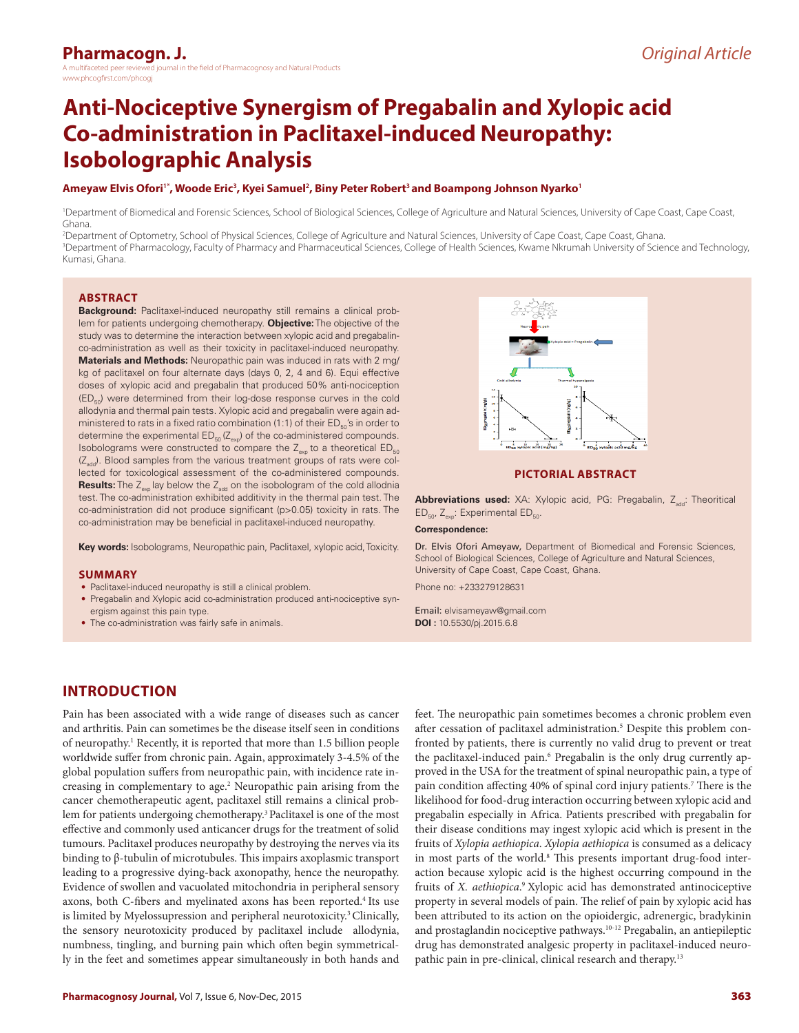# **Anti-Nociceptive Synergism of Pregabalin and Xylopic acid Co-administration in Paclitaxel-induced Neuropathy: Isobolographic Analysis**

#### **Ameyaw Elvis Ofori1\*, Woode Eric<sup>3</sup> , Kyei Samuel<sup>2</sup> , Biny Peter Robert3 and Boampong Johnson Nyarko<sup>1</sup>**

1 Department of Biomedical and Forensic Sciences, School of Biological Sciences, College of Agriculture and Natural Sciences, University of Cape Coast, Cape Coast, Ghana.

2 Department of Optometry, School of Physical Sciences, College of Agriculture and Natural Sciences, University of Cape Coast, Cape Coast, Ghana. 3 Department of Pharmacology, Faculty of Pharmacy and Pharmaceutical Sciences, College of Health Sciences, Kwame Nkrumah University of Science and Technology, Kumasi, Ghana.

#### **ABSTRACT**

**Background:** Paclitaxel-induced neuropathy still remains a clinical problem for patients undergoing chemotherapy. **Objective:** The objective of the study was to determine the interaction between xylopic acid and pregabalinco-administration as well as their toxicity in paclitaxel-induced neuropathy. **Materials and Methods:** Neuropathic pain was induced in rats with 2 mg/ kg of paclitaxel on four alternate days (days 0, 2, 4 and 6). Equi effective doses of xylopic acid and pregabalin that produced 50% anti-nociception  $(ED_{50})$  were determined from their log-dose response curves in the cold allodynia and thermal pain tests. Xylopic acid and pregabalin were again administered to rats in a fixed ratio combination (1:1) of their  $ED_{50}$ 's in order to determine the experimental  $ED_{_{50}}(Z_{_{\rm exp}})$  of the co-administered compounds. Isobolograms were constructed to compare the  $Z_{\text{env}}$  to a theoretical ED<sub>50</sub>  $(Z<sub>add</sub>)$ . Blood samples from the various treatment groups of rats were collected for toxicological assessment of the co-administered compounds. **Results:** The  $Z_{\text{ex}}$  lay below the  $Z_{\text{add}}$  on the isobologram of the cold allodnia test. The co-administration exhibited additivity in the thermal pain test. The co-administration did not produce significant (p>0.05) toxicity in rats. The co-administration may be beneficial in paclitaxel-induced neuropathy.

**Key words:** Isobolograms, Neuropathic pain, Paclitaxel, xylopic acid, Toxicity.

#### **SUMMARY**

- Paclitaxel-induced neuropathy is still a clinical problem.
- Pregabalin and Xylopic acid co-administration produced anti-nociceptive synergism against this pain type.
- The co-administration was fairly safe in animals.



#### **PICTORIAL ABSTRACT**

Abbreviations used: XA: Xylopic acid, PG: Pregabalin, Z<sub>add</sub>: Theoritical ED<sub>50</sub>, Z<sub>exp</sub>: Experimental ED<sub>50</sub>.

#### **Correspondence:**

Dr. Elvis Ofori Ameyaw, Department of Biomedical and Forensic Sciences, School of Biological Sciences, College of Agriculture and Natural Sciences, University of Cape Coast, Cape Coast, Ghana.

Phone no: +233279128631

Email: elvisameyaw@gmail.com **DOI :** 10.5530/pj.2015.6.8

# **INTRODUCTION**

Pain has been associated with a wide range of diseases such as cancer and arthritis. Pain can sometimes be the disease itself seen in conditions of neuropathy.<sup>1</sup> Recently, it is reported that more than 1.5 billion people worldwide suffer from chronic pain. Again, approximately 3-4.5% of the global population suffers from neuropathic pain, with incidence rate increasing in complementary to age.<sup>2</sup> Neuropathic pain arising from the cancer chemotherapeutic agent, paclitaxel still remains a clinical problem for patients undergoing chemotherapy.3 Paclitaxel is one of the most effective and commonly used anticancer drugs for the treatment of solid tumours. Paclitaxel produces neuropathy by destroying the nerves via its binding to β-tubulin of microtubules. This impairs axoplasmic transport leading to a progressive dying-back axonopathy, hence the neuropathy. Evidence of swollen and vacuolated mitochondria in peripheral sensory axons, both C-fibers and myelinated axons has been reported.<sup>4</sup> Its use is limited by Myelossupression and peripheral neurotoxicity.3 Clinically, the sensory neurotoxicity produced by paclitaxel include allodynia, numbness, tingling, and burning pain which often begin symmetrically in the feet and sometimes appear simultaneously in both hands and

feet. The neuropathic pain sometimes becomes a chronic problem even after cessation of paclitaxel administration.<sup>5</sup> Despite this problem confronted by patients, there is currently no valid drug to prevent or treat the paclitaxel-induced pain.<sup>6</sup> Pregabalin is the only drug currently approved in the USA for the treatment of spinal neuropathic pain, a type of pain condition affecting 40% of spinal cord injury patients.7 There is the likelihood for food-drug interaction occurring between xylopic acid and pregabalin especially in Africa. Patients prescribed with pregabalin for their disease conditions may ingest xylopic acid which is present in the fruits of *Xylopia aethiopica*. *Xylopia aethiopica* is consumed as a delicacy in most parts of the world.<sup>8</sup> This presents important drug-food interaction because xylopic acid is the highest occurring compound in the fruits of *X. aethiopica*. 9 Xylopic acid has demonstrated antinociceptive property in several models of pain. The relief of pain by xylopic acid has been attributed to its action on the opioidergic, adrenergic, bradykinin and prostaglandin nociceptive pathways.10-12 Pregabalin, an antiepileptic drug has demonstrated analgesic property in paclitaxel-induced neuropathic pain in pre-clinical, clinical research and therapy.<sup>13</sup>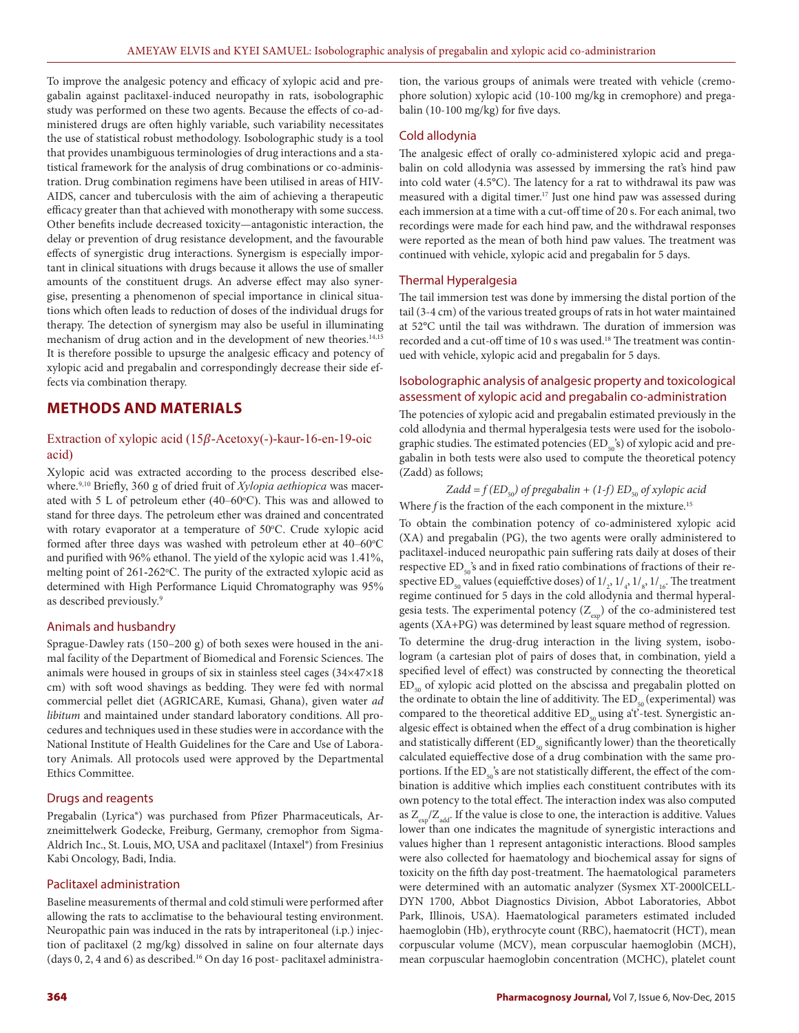To improve the analgesic potency and efficacy of xylopic acid and pregabalin against paclitaxel-induced neuropathy in rats, isobolographic study was performed on these two agents. Because the effects of co-administered drugs are often highly variable, such variability necessitates the use of statistical robust methodology. Isobolographic study is a tool that provides unambiguous terminologies of drug interactions and a statistical framework for the analysis of drug combinations or co-administration. Drug combination regimens have been utilised in areas of HIV-AIDS, cancer and tuberculosis with the aim of achieving a therapeutic efficacy greater than that achieved with monotherapy with some success. Other benefits include decreased toxicity—antagonistic interaction, the delay or prevention of drug resistance development, and the favourable effects of synergistic drug interactions. Synergism is especially important in clinical situations with drugs because it allows the use of smaller amounts of the constituent drugs. An adverse effect may also synergise, presenting a phenomenon of special importance in clinical situations which often leads to reduction of doses of the individual drugs for therapy. The detection of synergism may also be useful in illuminating mechanism of drug action and in the development of new theories.<sup>14,15</sup> It is therefore possible to upsurge the analgesic efficacy and potency of xylopic acid and pregabalin and correspondingly decrease their side effects via combination therapy.

# **METHODS AND MATERIALS**

# Extraction of xylopic acid  $(15\beta$ -Acetoxy(-)-kaur-16-en-19-oic acid)

Xylopic acid was extracted according to the process described elsewhere.9,10 Briefly, 360 g of dried fruit of *Xylopia aethiopica* was macerated with  $5 \text{ L}$  of petroleum ether (40–60 $^{\circ}$ C). This was and allowed to stand for three days. The petroleum ether was drained and concentrated with rotary evaporator at a temperature of 50°C. Crude xylopic acid formed after three days was washed with petroleum ether at 40–60°C and purified with 96% ethanol. The yield of the xylopic acid was 1.41%, melting point of 261-262 °C. The purity of the extracted xylopic acid as determined with High Performance Liquid Chromatography was 95% as described previously.9

#### Animals and husbandry

Sprague-Dawley rats (150–200 g) of both sexes were housed in the animal facility of the Department of Biomedical and Forensic Sciences. The animals were housed in groups of six in stainless steel cages (34×47×18 cm) with soft wood shavings as bedding. They were fed with normal commercial pellet diet (AGRICARE, Kumasi, Ghana), given water *ad libitum* and maintained under standard laboratory conditions. All procedures and techniques used in these studies were in accordance with the National Institute of Health Guidelines for the Care and Use of Laboratory Animals. All protocols used were approved by the Departmental Ethics Committee.

## Drugs and reagents

Pregabalin (Lyrica®) was purchased from Pfizer Pharmaceuticals, Arzneimittelwerk Godecke, Freiburg, Germany, cremophor from Sigma-Aldrich Inc., St. Louis, MO, USA and paclitaxel (Intaxel®) from Fresinius Kabi Oncology, Badi, India.

#### Paclitaxel administration

Baseline measurements of thermal and cold stimuli were performed after allowing the rats to acclimatise to the behavioural testing environment. Neuropathic pain was induced in the rats by intraperitoneal (i.p.) injection of paclitaxel (2 mg/kg) dissolved in saline on four alternate days (days  $0$ ,  $2$ ,  $4$  and  $6$ ) as described.<sup>16</sup> On day 16 post-paclitaxel administration, the various groups of animals were treated with vehicle (cremophore solution) xylopic acid (10-100 mg/kg in cremophore) and pregabalin (10-100 mg/kg) for five days.

## Cold allodynia

The analgesic effect of orally co-administered xylopic acid and pregabalin on cold allodynia was assessed by immersing the rat's hind paw into cold water (4.5°C). The latency for a rat to withdrawal its paw was measured with a digital timer.<sup>17</sup> Just one hind paw was assessed during each immersion at a time with a cut-off time of 20 s. For each animal, two recordings were made for each hind paw, and the withdrawal responses were reported as the mean of both hind paw values. The treatment was continued with vehicle, xylopic acid and pregabalin for 5 days.

### Thermal Hyperalgesia

The tail immersion test was done by immersing the distal portion of the tail (3-4 cm) of the various treated groups of rats in hot water maintained at 52°C until the tail was withdrawn. The duration of immersion was recorded and a cut-off time of 10 s was used.<sup>18</sup> The treatment was continued with vehicle, xylopic acid and pregabalin for 5 days.

## Isobolographic analysis of analgesic property and toxicological assessment of xylopic acid and pregabalin co-administration

The potencies of xylopic acid and pregabalin estimated previously in the cold allodynia and thermal hyperalgesia tests were used for the isobolographic studies. The estimated potencies (ED $_{50}$ 's) of xylopic acid and pregabalin in both tests were also used to compute the theoretical potency (Zadd) as follows;

## $Zadd = f(ED_{50})$  of pregabalin + (1-f)  $ED_{50}$  of xylopic acid

Where *f* is the fraction of the each component in the mixture.<sup>15</sup>

To obtain the combination potency of co-administered xylopic acid (XA) and pregabalin (PG), the two agents were orally administered to paclitaxel-induced neuropathic pain suffering rats daily at doses of their respective  $ED_{50}$ 's and in fixed ratio combinations of fractions of their respective ED<sub>50</sub> values (equieffctive doses) of  $1/2$ ,  $1/4$ ,  $1/8$ ,  $1/16$ . The treatment regime continued for 5 days in the cold allodynia and thermal hyperalgesia tests. The experimental potency  $(Z_{\text{exp}})$  of the co-administered test agents (XA+PG) was determined by least square method of regression.

To determine the drug-drug interaction in the living system, isobologram (a cartesian plot of pairs of doses that, in combination, yield a specified level of effect) was constructed by connecting the theoretical  $ED<sub>so</sub>$  of xylopic acid plotted on the abscissa and pregabalin plotted on the ordinate to obtain the line of additivity. The  $ED_{\varsigma_{0}}$  (experimental) was compared to the theoretical additive  $ED_{50}$  using a't'-test. Synergistic analgesic effect is obtained when the effect of a drug combination is higher and statistically different  $(ED_{50}$  significantly lower) than the theoretically calculated equieffective dose of a drug combination with the same proportions. If the  $ED_{50}^{\circ}$ 's are not statistically different, the effect of the combination is additive which implies each constituent contributes with its own potency to the total effect. The interaction index was also computed as  $Z_{\text{max}}/Z_{\text{add}}$ . If the value is close to one, the interaction is additive. Values lower than one indicates the magnitude of synergistic interactions and values higher than 1 represent antagonistic interactions. Blood samples were also collected for haematology and biochemical assay for signs of toxicity on the fifth day post-treatment. The haematological parameters were determined with an automatic analyzer (Sysmex XT-2000lCELL-DYN 1700, Abbot Diagnostics Division, Abbot Laboratories, Abbot Park, Illinois, USA). Haematological parameters estimated included haemoglobin (Hb), erythrocyte count (RBC), haematocrit (HCT), mean corpuscular volume (MCV), mean corpuscular haemoglobin (MCH), mean corpuscular haemoglobin concentration (MCHC), platelet count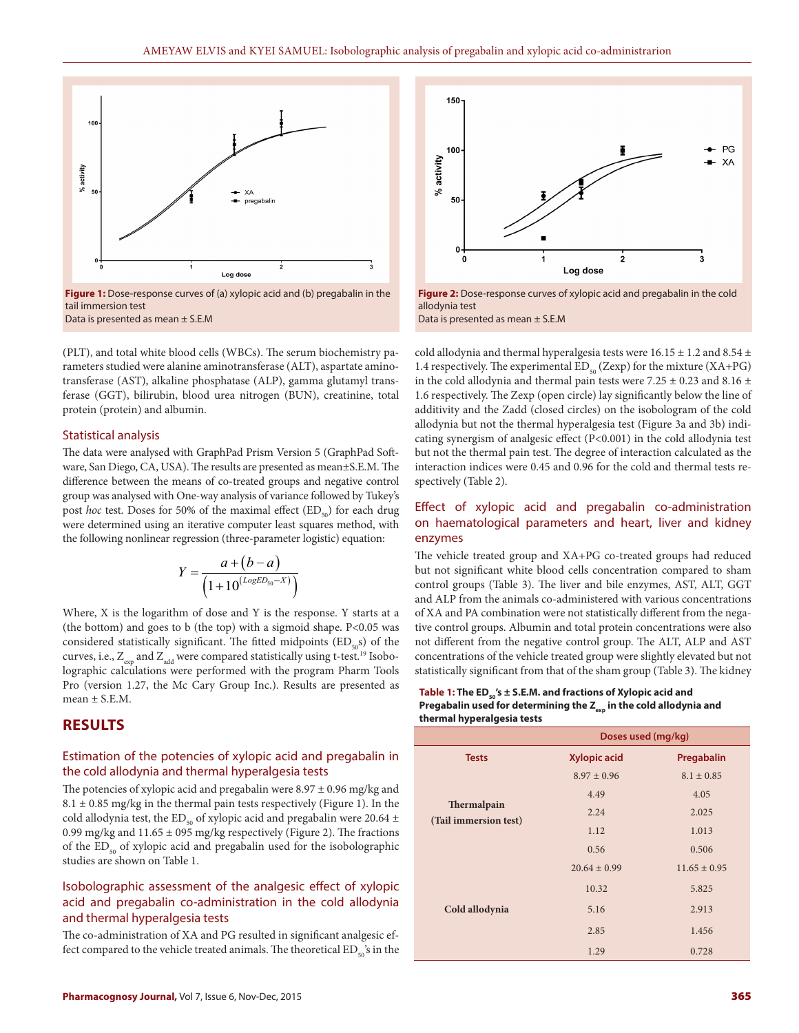

**Figure 1:** Dose-response curves of (a) xylopic acid and (b) pregabalin in the tail immersion test Data is presented as mean ± S.E.M

(PLT), and total white blood cells (WBCs). The serum biochemistry parameters studied were alanine aminotransferase (ALT), aspartate aminotransferase (AST), alkaline phosphatase (ALP), gamma glutamyl transferase (GGT), bilirubin, blood urea nitrogen (BUN), creatinine, total protein (protein) and albumin.

### Statistical analysis

The data were analysed with GraphPad Prism Version 5 (GraphPad Software, San Diego, CA, USA). The results are presented as mean±S.E.M. The difference between the means of co-treated groups and negative control group was analysed with One-way analysis of variance followed by Tukey's post *hoc* test. Doses for 50% of the maximal effect (ED<sub>50</sub>) for each drug were determined using an iterative computer least squares method, with the following nonlinear regression (three-parameter logistic) equation:

$$
Y = \frac{a + (b - a)}{(1 + 10^{(LogED_{50} - X)})}
$$

Where, X is the logarithm of dose and Y is the response. Y starts at a (the bottom) and goes to b (the top) with a sigmoid shape. P<0.05 was considered statistically significant. The fitted midpoints  $(ED_{50}s)$  of the curves, i.e.,  $Z_{\text{exp}}$  and  $Z_{\text{add}}$  were compared statistically using t-test.<sup>19</sup> Isobolographic calculations were performed with the program Pharm Tools Pro (version 1.27, the Mc Cary Group Inc.). Results are presented as mean  $\pm$  S.E.M.

# **RESULTS**

# Estimation of the potencies of xylopic acid and pregabalin in the cold allodynia and thermal hyperalgesia tests

The potencies of xylopic acid and pregabalin were  $8.97 \pm 0.96$  mg/kg and  $8.1 \pm 0.85$  mg/kg in the thermal pain tests respectively (Figure 1). In the cold allodynia test, the ED<sub>50</sub> of xylopic acid and pregabalin were 20.64  $\pm$ 0.99 mg/kg and  $11.65 \pm 095$  mg/kg respectively (Figure 2). The fractions of the  $ED_{50}$  of xylopic acid and pregabalin used for the isobolographic studies are shown on Table 1.

# Isobolographic assessment of the analgesic effect of xylopic acid and pregabalin co-administration in the cold allodynia and thermal hyperalgesia tests

The co-administration of XA and PG resulted in significant analgesic effect compared to the vehicle treated animals. The theoretical  $ED_{s0}^s$ 's in the



**Figure 2:** Dose-response curves of xylopic acid and pregabalin in the cold allodynia test Data is presented as mean ± S.E.M

cold allodynia and thermal hyperalgesia tests were  $16.15 \pm 1.2$  and  $8.54 \pm$ 1.4 respectively. The experimental  $ED_{50}$  (Zexp) for the mixture (XA+PG) in the cold allodynia and thermal pain tests were 7.25  $\pm$  0.23 and 8.16  $\pm$ 1.6 respectively. The Zexp (open circle) lay significantly below the line of additivity and the Zadd (closed circles) on the isobologram of the cold allodynia but not the thermal hyperalgesia test (Figure 3a and 3b) indicating synergism of analgesic effect (P<0.001) in the cold allodynia test but not the thermal pain test. The degree of interaction calculated as the interaction indices were 0.45 and 0.96 for the cold and thermal tests respectively (Table 2).

# Effect of xylopic acid and pregabalin co-administration on haematological parameters and heart, liver and kidney enzymes

The vehicle treated group and XA+PG co-treated groups had reduced but not significant white blood cells concentration compared to sham control groups (Table 3). The liver and bile enzymes, AST, ALT, GGT and ALP from the animals co-administered with various concentrations of XA and PA combination were not statistically different from the negative control groups. Albumin and total protein concentrations were also not different from the negative control group. The ALT, ALP and AST concentrations of the vehicle treated group were slightly elevated but not statistically significant from that of the sham group (Table 3). The kidney

### Table 1: The ED<sub>50</sub>'s ± S.E.M. and fractions of Xylopic acid and Pregabalin used for determining the Z<sub>exp</sub> in the cold allodynia and **thermal hyperalgesia tests**

|                                      | Doses used (mg/kg) |                  |  |
|--------------------------------------|--------------------|------------------|--|
| <b>Tests</b>                         | Xylopic acid       | Pregabalin       |  |
|                                      | $8.97 \pm 0.96$    | $8.1 \pm 0.85$   |  |
|                                      | 4.49               | 4.05             |  |
| Thermalpain<br>(Tail immersion test) | 2.24               | 2.025            |  |
|                                      | 1.12               | 1.013            |  |
|                                      | 0.56               | 0.506            |  |
| Cold allodynia                       | $20.64 \pm 0.99$   | $11.65 \pm 0.95$ |  |
|                                      | 10.32              | 5.825            |  |
|                                      | 5.16               | 2.913            |  |
|                                      | 2.85               | 1.456            |  |
|                                      | 1.29               | 0.728            |  |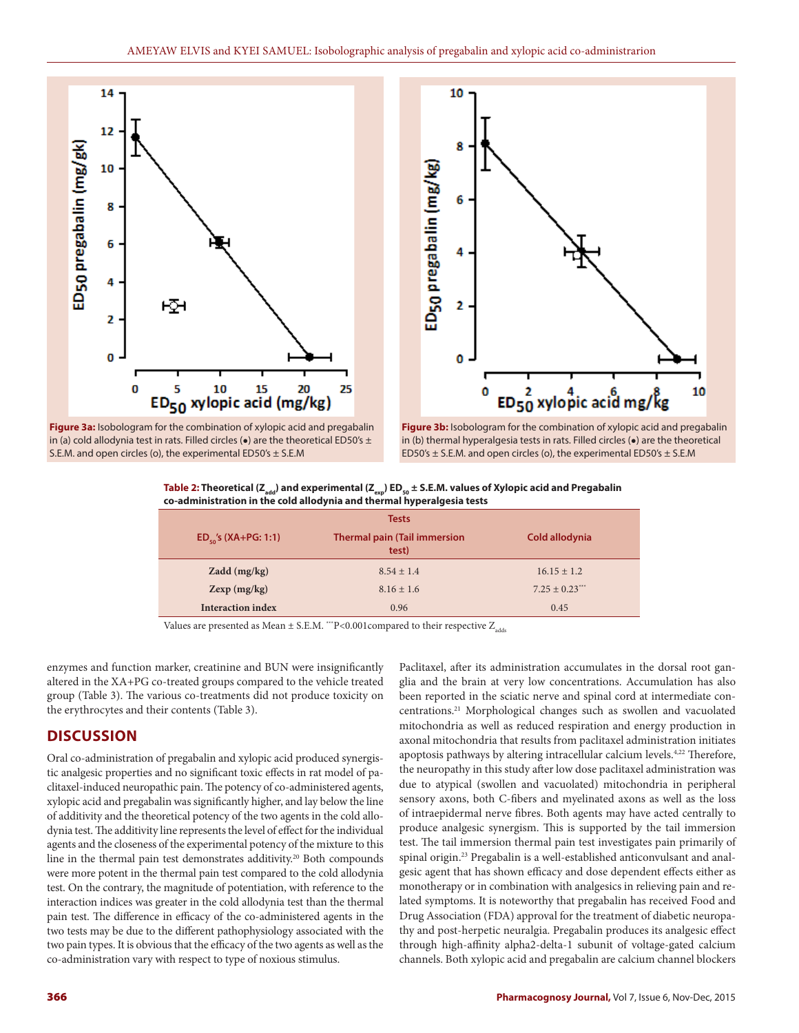



**Figure 3a:** Isobologram for the combination of xylopic acid and pregabalin in (a) cold allodynia test in rats. Filled circles ( $\bullet$ ) are the theoretical ED50's  $\pm$ S.E.M. and open circles (o), the experimental ED50's ± S.E.M

**Figure 3b:** Isobologram for the combination of xylopic acid and pregabalin in (b) thermal hyperalgesia tests in rats. Filled circles (●) are the theoretical ED50's  $\pm$  S.E.M. and open circles (o), the experimental ED50's  $\pm$  S.E.M

Table 2: Theoretical (Z<sub>add</sub>) and experimental (Z<sub>exp</sub>) ED<sub>50</sub> ± S.E.M. values of Xylopic acid and Pregabalin **co-administration in the cold allodynia and thermal hyperalgesia tests**

| <b>Tests</b>              |                                              |                 |  |  |  |
|---------------------------|----------------------------------------------|-----------------|--|--|--|
| $ED_{50}$ 's (XA+PG: 1:1) | <b>Thermal pain (Tail immersion</b><br>test) | Cold allodynia  |  |  |  |
| Zadd (mg/kg)              | $8.54 + 1.4$                                 | $16.15 \pm 1.2$ |  |  |  |
| Zexp(mg/kg)               | $8.16 \pm 1.6$                               | $7.25 \pm 0.23$ |  |  |  |
| <b>Interaction index</b>  | 0.96                                         | 0.45            |  |  |  |

Values are presented as Mean  $\pm$  S.E.M. \*\*\*P<0.001compared to their respective  $Z_{add}$ 

enzymes and function marker, creatinine and BUN were insignificantly altered in the XA+PG co-treated groups compared to the vehicle treated group (Table 3). The various co-treatments did not produce toxicity on the erythrocytes and their contents (Table 3).

# **DISCUSSION**

Oral co-administration of pregabalin and xylopic acid produced synergistic analgesic properties and no significant toxic effects in rat model of paclitaxel-induced neuropathic pain. The potency of co-administered agents, xylopic acid and pregabalin was significantly higher, and lay below the line of additivity and the theoretical potency of the two agents in the cold allodynia test. The additivity line represents the level of effect for the individual agents and the closeness of the experimental potency of the mixture to this line in the thermal pain test demonstrates additivity.<sup>20</sup> Both compounds were more potent in the thermal pain test compared to the cold allodynia test. On the contrary, the magnitude of potentiation, with reference to the interaction indices was greater in the cold allodynia test than the thermal pain test. The difference in efficacy of the co-administered agents in the two tests may be due to the different pathophysiology associated with the two pain types. It is obvious that the efficacy of the two agents as well as the co-administration vary with respect to type of noxious stimulus.

Paclitaxel, after its administration accumulates in the dorsal root ganglia and the brain at very low concentrations. Accumulation has also been reported in the sciatic nerve and spinal cord at intermediate concentrations.21 Morphological changes such as swollen and vacuolated mitochondria as well as reduced respiration and energy production in axonal mitochondria that results from paclitaxel administration initiates apoptosis pathways by altering intracellular calcium levels.<sup>4,22</sup> Therefore, the neuropathy in this study after low dose paclitaxel administration was due to atypical (swollen and vacuolated) mitochondria in peripheral sensory axons, both C-fibers and myelinated axons as well as the loss of intraepidermal nerve fibres. Both agents may have acted centrally to produce analgesic synergism. This is supported by the tail immersion test. The tail immersion thermal pain test investigates pain primarily of spinal origin.23 Pregabalin is a well-established anticonvulsant and analgesic agent that has shown efficacy and dose dependent effects either as monotherapy or in combination with analgesics in relieving pain and related symptoms. It is noteworthy that pregabalin has received Food and Drug Association (FDA) approval for the treatment of diabetic neuropathy and post-herpetic neuralgia. Pregabalin produces its analgesic effect through high-affinity alpha2-delta-1 subunit of voltage-gated calcium channels. Both xylopic acid and pregabalin are calcium channel blockers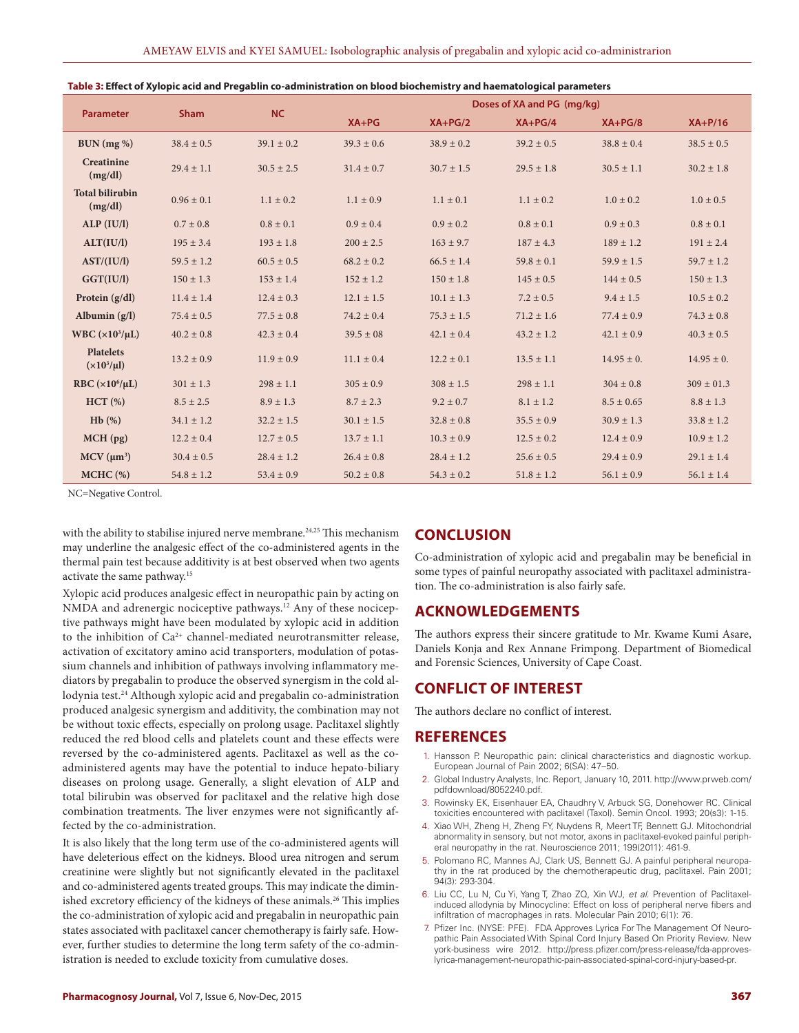| <b>Parameter</b>                    | <b>Sham</b>    | <b>NC</b>      |                | Doses of XA and PG (mg/kg) |                |                |                |
|-------------------------------------|----------------|----------------|----------------|----------------------------|----------------|----------------|----------------|
|                                     |                |                | $XA+PG$        | $XA+PG/2$                  | $XA+PG/4$      | $XA+PG/8$      | $XA+P/16$      |
| BUN (mg %)                          | $38.4 \pm 0.5$ | $39.1 \pm 0.2$ | $39.3 \pm 0.6$ | $38.9 \pm 0.2$             | $39.2 \pm 0.5$ | $38.8 \pm 0.4$ | $38.5 \pm 0.5$ |
| <b>Creatinine</b><br>(mg/dl)        | $29.4 \pm 1.1$ | $30.5 \pm 2.5$ | $31.4 \pm 0.7$ | $30.7 \pm 1.5$             | $29.5 \pm 1.8$ | $30.5 \pm 1.1$ | $30.2 \pm 1.8$ |
| <b>Total bilirubin</b><br>(mg/dl)   | $0.96 \pm 0.1$ | $1.1 \pm 0.2$  | $1.1 \pm 0.9$  | $1.1 \pm 0.1$              | $1.1 \pm 0.2$  | $1.0 \pm 0.2$  | $1.0 \pm 0.5$  |
| ALP (IU/I)                          | $0.7 \pm 0.8$  | $0.8 \pm 0.1$  | $0.9 \pm 0.4$  | $0.9 \pm 0.2$              | $0.8 \pm 0.1$  | $0.9 \pm 0.3$  | $0.8 \pm 0.1$  |
| ALT(IU/l)                           | $195 \pm 3.4$  | $193 \pm 1.8$  | $200 \pm 2.5$  | $163 \pm 9.7$              | $187 \pm 4.3$  | $189 \pm 1.2$  | $191 \pm 2.4$  |
| AST/(IU/l)                          | $59.5 \pm 1.2$ | $60.5 \pm 0.5$ | $68.2 \pm 0.2$ | $66.5 \pm 1.4$             | $59.8 \pm 0.1$ | $59.9 \pm 1.5$ | $59.7 \pm 1.2$ |
| GGT(IU/I)                           | $150 \pm 1.3$  | $153 \pm 1.4$  | $152 \pm 1.2$  | $150 \pm 1.8$              | $145 \pm 0.5$  | $144 \pm 0.5$  | $150 \pm 1.3$  |
| Protein $(g/dl)$                    | $11.4 \pm 1.4$ | $12.4 \pm 0.3$ | $12.1 \pm 1.5$ | $10.1 \pm 1.3$             | $7.2 \pm 0.5$  | $9.4 \pm 1.5$  | $10.5 \pm 0.2$ |
| Albumin $(g/l)$                     | $75.4 \pm 0.5$ | $77.5 \pm 0.8$ | $74.2 \pm 0.4$ | $75.3 \pm 1.5$             | $71.2 \pm 1.6$ | $77.4 \pm 0.9$ | $74.3 \pm 0.8$ |
| WBC $(x10^3/\mu L)$                 | $40.2 \pm 0.8$ | $42.3 \pm 0.4$ | $39.5 \pm 08$  | $42.1 \pm 0.4$             | $43.2 \pm 1.2$ | $42.1 \pm 0.9$ | $40.3 \pm 0.5$ |
| <b>Platelets</b><br>$(x10^3/\mu l)$ | $13.2 \pm 0.9$ | $11.9 \pm 0.9$ | $11.1 \pm 0.4$ | $12.2 \pm 0.1$             | $13.5 \pm 1.1$ | $14.95 \pm 0.$ | $14.95 \pm 0.$ |
| RBC $(\times 10^6/\mu L)$           | $301 \pm 1.3$  | $298 \pm 1.1$  | $305 \pm 0.9$  | $308 \pm 1.5$              | $298 \pm 1.1$  | $304 \pm 0.8$  | $309 \pm 01.3$ |
| HCT(%)                              | $8.5 \pm 2.5$  | $8.9 \pm 1.3$  | $8.7 \pm 2.3$  | $9.2 \pm 0.7$              | $8.1 \pm 1.2$  | $8.5 \pm 0.65$ | $8.8 \pm 1.3$  |
| Hb(%)                               | $34.1 \pm 1.2$ | $32.2 \pm 1.5$ | $30.1 \pm 1.5$ | $32.8 \pm 0.8$             | $35.5 \pm 0.9$ | $30.9 \pm 1.3$ | $33.8 \pm 1.2$ |
| MCH (pg)                            | $12.2 \pm 0.4$ | $12.7 \pm 0.5$ | $13.7 \pm 1.1$ | $10.3 \pm 0.9$             | $12.5 \pm 0.2$ | $12.4 \pm 0.9$ | $10.9 \pm 1.2$ |
| $MCV$ ( $\mu$ m <sup>3</sup> )      | $30.4 \pm 0.5$ | $28.4 \pm 1.2$ | $26.4 \pm 0.8$ | $28.4 \pm 1.2$             | $25.6 \pm 0.5$ | $29.4 \pm 0.9$ | $29.1 \pm 1.4$ |
| $MCHC$ (%)                          | $54.8 \pm 1.2$ | $53.4 \pm 0.9$ | $50.2 \pm 0.8$ | $54.3 \pm 0.2$             | $51.8 \pm 1.2$ | $56.1 \pm 0.9$ | $56.1 \pm 1.4$ |

|  | Table 3: Effect of Xylopic acid and Pregablin co-administration on blood biochemistry and haematological parameters |  |
|--|---------------------------------------------------------------------------------------------------------------------|--|
|  |                                                                                                                     |  |

NC=Negative Control.

with the ability to stabilise injured nerve membrane.<sup>24,25</sup> This mechanism may underline the analgesic effect of the co-administered agents in the thermal pain test because additivity is at best observed when two agents activate the same pathway.15

Xylopic acid produces analgesic effect in neuropathic pain by acting on NMDA and adrenergic nociceptive pathways.<sup>12</sup> Any of these nociceptive pathways might have been modulated by xylopic acid in addition to the inhibition of Ca<sup>2+</sup> channel-mediated neurotransmitter release, activation of excitatory amino acid transporters, modulation of potassium channels and inhibition of pathways involving inflammatory mediators by pregabalin to produce the observed synergism in the cold allodynia test.24 Although xylopic acid and pregabalin co-administration produced analgesic synergism and additivity, the combination may not be without toxic effects, especially on prolong usage. Paclitaxel slightly reduced the red blood cells and platelets count and these effects were reversed by the co-administered agents. Paclitaxel as well as the coadministered agents may have the potential to induce hepato-biliary diseases on prolong usage. Generally, a slight elevation of ALP and total bilirubin was observed for paclitaxel and the relative high dose combination treatments. The liver enzymes were not significantly affected by the co-administration.

It is also likely that the long term use of the co-administered agents will have deleterious effect on the kidneys. Blood urea nitrogen and serum creatinine were slightly but not significantly elevated in the paclitaxel and co-administered agents treated groups. This may indicate the diminished excretory efficiency of the kidneys of these animals.<sup>26</sup> This implies the co-administration of xylopic acid and pregabalin in neuropathic pain states associated with paclitaxel cancer chemotherapy is fairly safe. However, further studies to determine the long term safety of the co-administration is needed to exclude toxicity from cumulative doses.

# **CONCLUSION**

Co-administration of xylopic acid and pregabalin may be beneficial in some types of painful neuropathy associated with paclitaxel administration. The co-administration is also fairly safe.

# **ACKNOWLEDGEMENTS**

The authors express their sincere gratitude to Mr. Kwame Kumi Asare, Daniels Konja and Rex Annane Frimpong. Department of Biomedical and Forensic Sciences, University of Cape Coast.

# **CONFLICT OF INTEREST**

The authors declare no conflict of interest.

# **REFERENCES**

- 1. Hansson P. Neuropathic pain: clinical characteristics and diagnostic workup. European Journal of Pain 2002; 6(SA): 47–50.
- 2. Global Industry Analysts, Inc. Report, January 10, 2011. http://www.prweb.com/ pdfdownload/8052240.pdf.
- 3. Rowinsky EK, Eisenhauer EA, Chaudhry V, Arbuck SG, Donehower RC. Clinical toxicities encountered with paclitaxel (Taxol). Semin Oncol. 1993; 20(s3): 1-15.
- 4. Xiao WH, Zheng H, Zheng FY, Nuydens R, Meert TF, Bennett GJ. Mitochondrial abnormality in sensory, but not motor, axons in paclitaxel-evoked painful peripheral neuropathy in the rat. Neuroscience 2011; 199(2011): 461-9.
- 5. Polomano RC, Mannes AJ, Clark US, Bennett GJ. A painful peripheral neuropathy in the rat produced by the chemotherapeutic drug, paclitaxel. Pain 2001; 94(3): 293-304.
- 6. Liu CC, Lu N, Cu Yi, Yang T, Zhao ZQ, Xin WJ, *et al*. Prevention of Paclitaxelinduced allodynia by Minocycline: Effect on loss of peripheral nerve fibers and infiltration of macrophages in rats. Molecular Pain 2010; 6(1): 76.
- 7. Pfizer Inc. (NYSE: PFE). FDA Approves Lyrica For The Management Of Neuropathic Pain Associated With Spinal Cord Injury Based On Priority Review. New york-business wire 2012. http://press.pfizer.com/press-release/fda-approveslyrica-management-neuropathic-pain-associated-spinal-cord-injury-based-pr.